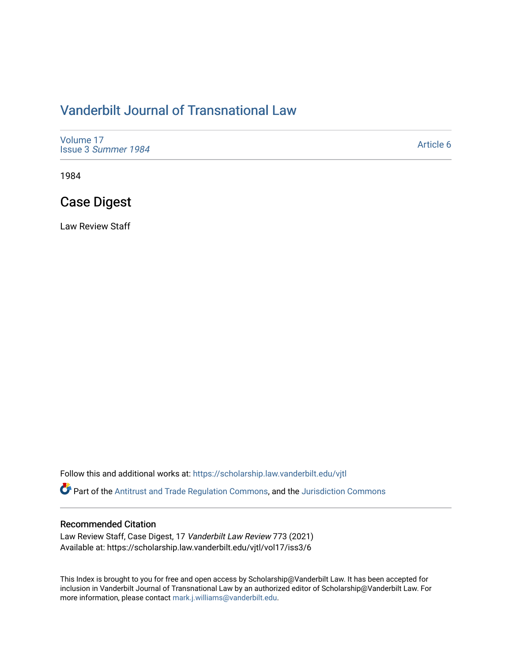# [Vanderbilt Journal of Transnational Law](https://scholarship.law.vanderbilt.edu/vjtl)

| Volume 17<br>Issue 3 Summer 1984 | Article 6 |
|----------------------------------|-----------|
|----------------------------------|-----------|

1984

# Case Digest

Law Review Staff

Follow this and additional works at: [https://scholarship.law.vanderbilt.edu/vjtl](https://scholarship.law.vanderbilt.edu/vjtl?utm_source=scholarship.law.vanderbilt.edu%2Fvjtl%2Fvol17%2Fiss3%2F6&utm_medium=PDF&utm_campaign=PDFCoverPages) 

Part of the [Antitrust and Trade Regulation Commons,](http://network.bepress.com/hgg/discipline/911?utm_source=scholarship.law.vanderbilt.edu%2Fvjtl%2Fvol17%2Fiss3%2F6&utm_medium=PDF&utm_campaign=PDFCoverPages) and the [Jurisdiction Commons](http://network.bepress.com/hgg/discipline/850?utm_source=scholarship.law.vanderbilt.edu%2Fvjtl%2Fvol17%2Fiss3%2F6&utm_medium=PDF&utm_campaign=PDFCoverPages) 

### Recommended Citation

Law Review Staff, Case Digest, 17 Vanderbilt Law Review 773 (2021) Available at: https://scholarship.law.vanderbilt.edu/vjtl/vol17/iss3/6

This Index is brought to you for free and open access by Scholarship@Vanderbilt Law. It has been accepted for inclusion in Vanderbilt Journal of Transnational Law by an authorized editor of Scholarship@Vanderbilt Law. For more information, please contact [mark.j.williams@vanderbilt.edu](mailto:mark.j.williams@vanderbilt.edu).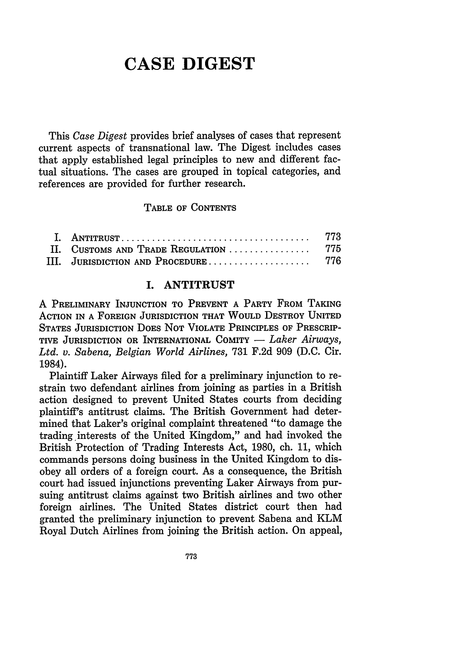# **CASE DIGEST**

This *Case Digest* provides brief analyses of cases that represent current aspects of transnational law. The Digest includes cases that apply established legal principles to new and different factual situations. The cases are grouped in topical categories, and references are provided for further research.

**TABLE** OF **CONTENTS**

|                                       | -773 |
|---------------------------------------|------|
| II. CUSTOMS AND TRADE REGULATION  775 |      |
| III. JURISDICTION AND PROCEDURE 776   |      |

#### I. **ANTITRUST**

**A PRELIMINARY INJUNCTION TO PREVENT A PARTY** FROM **TAKING ACTION IN A FOREIGN JURISDICTION THAT WOULD DESTROY UNITED** STATES JURISDICTION DOES NOT VIOLATE PRINCIPLES OF PRESCRIP-TIVE JURISDICTION OR INTERNATIONAL COMITY - *Laker Airways*, *Ltd. v. Sabena, Belgian World Airlines,* **731 F.2d 909 (D.C.** Cir. 1984).

Plaintiff Laker Airways filed for a preliminary injunction to restrain two defendant airlines from joining as parties in a British action designed to prevent United States courts from deciding plaintiff's antitrust claims. The British Government had determined that Laker's original complaint threatened "to damage the trading interests of the United Kingdom," and had invoked the British Protection of Trading Interests Act, 1980, ch. 11, which commands persons doing business in the United Kingdom to disobey all orders of a foreign court. As a consequence, the British court had issued injunctions preventing Laker Airways from pursuing antitrust claims against two British airlines and two other foreign airlines. The United States district court then had granted the preliminary injunction to prevent Sabena and KLM Royal Dutch Airlines from joining the British action. On appeal,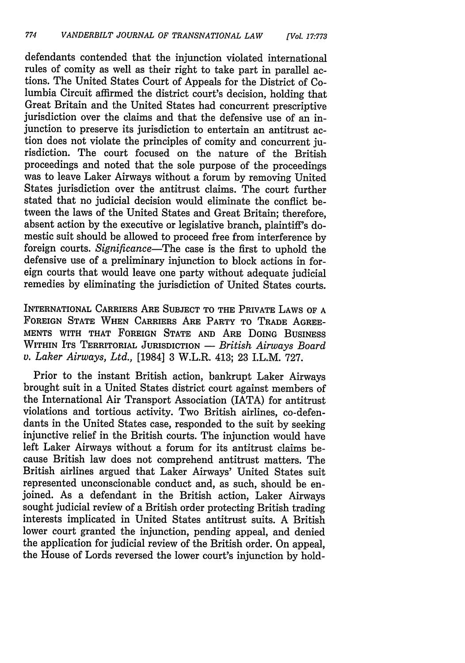defendants contended that the injunction violated international rules of comity as well as their right to take part in parallel actions. The United States Court of Appeals for the District of Columbia Circuit affirmed the district court's decision, holding that Great Britain and the United States had concurrent prescriptive jurisdiction over the claims and that the defensive use of an injunction to preserve its jurisdiction to entertain an antitrust action does not violate the principles of comity and concurrent jurisdiction. The court focused on the nature of the British proceedings and noted that the sole purpose of the proceedings was to leave Laker Airways without a forum by removing United States jurisdiction over the antitrust claims. The court further stated that no judicial decision would eliminate the conflict between the laws of the United States and Great Britain; therefore, absent action by the executive or legislative branch, plaintiff's domestic suit should be allowed to proceed free from interference by foreign courts. *Significance-The* case is the first to uphold the defensive use of a preliminary injunction to block actions in foreign courts that would leave one party without adequate judicial remedies by eliminating the jurisdiction of United States courts.

INTERNATIONAL CARRIERS ARE SUBJECT TO THE PRIVATE LAWS OF A FOREIGN STATE WHEN CARRIERS ARE PARTY TO TRADE AGREE-MENTS WITH THAT FOREIGN STATE AND ARE DOING BUSINESS WITHIN ITS TERRITORIAL JURISDICTION - *British Airways Board v. Laker Airways, Ltd.,* [1984] 3 W.L.R. 413; 23 I.L.M. 727.

Prior to the instant British action, bankrupt Laker Airways brought suit in a United States district court against members of the International Air Transport Association (IATA) for antitrust violations and tortious activity. Two British airlines, co-defendants in the United States case, responded to the suit by seeking injunctive relief in the British courts. The injunction would have left Laker Airways without a forum for its antitrust claims because British law does not comprehend antitrust matters. The British airlines argued that Laker Airways' United States suit represented unconscionable conduct and, as such, should be enjoined. As a defendant in the British action, Laker Airways sought judicial review of a British order protecting British trading interests implicated in United States antitrust suits. A British lower court granted the injunction, pending appeal, and denied the application for judicial review of the British order. On appeal, the House of Lords reversed the lower court's injunction by hold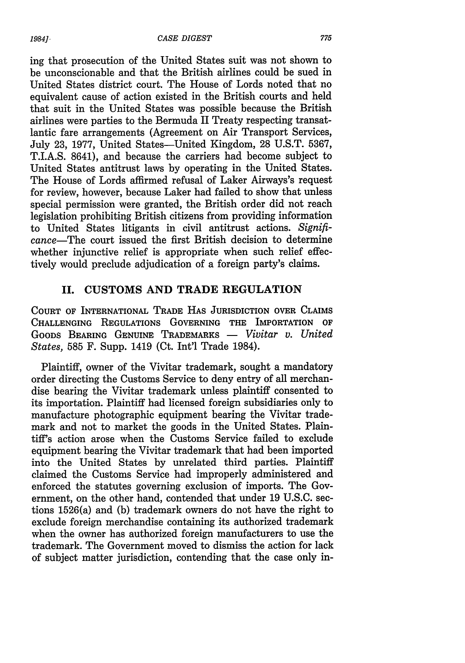ing that prosecution of the United States suit was not shown to be unconscionable and that the British airlines could be sued in United States district court. The House of Lords noted that no equivalent cause of action existed in the British courts and held that suit in the United States was possible because the British airlines were parties to the Bermuda II Treaty respecting transatlantic fare arrangements (Agreement on Air Transport Services, July 23, 1977, United States-United Kingdom, 28 U.S.T. 5367, T.I.A.S. 8641), and because the carriers had become subject to United States antitrust laws by operating in the United States. The House of Lords affirmed refusal of Laker Airways's request for review, however, because Laker had failed to show that unless special permission were granted, the British order did not reach legislation prohibiting British citizens from providing information to United States litigants in civil antitrust actions. *Significance-The* court issued the first British decision to determine whether injunctive relief is appropriate when such relief effectively would preclude adjudication of a foreign party's claims.

### **II. CUSTOMS AND** TRADE **REGULATION**

**COURT OF INTERNATIONAL** TRADE **HAS JURISDICTION** OVER CLAIMS **CHALLENGING** REGULATIONS **GOVERNING** THE IMPORTATION **OF GOODS BEARING GENUINE TRADEMARKS -** *Vivitar v. United States,* 585 F. Supp. 1419 (Ct. Int'l Trade 1984).

Plaintiff, owner of the Vivitar trademark, sought a mandatory order directing the Customs Service to deny entry of all merchandise bearing the Vivitar trademark unless plaintiff consented to its importation. Plaintiff had licensed foreign subsidiaries only to manufacture photographic equipment bearing the Vivitar trademark and not to market the goods in the United States. Plaintiff's action arose when the Customs Service failed to exclude equipment bearing the Vivitar trademark that had been imported into the United States by unrelated third parties. Plaintiff claimed the Customs Service had improperly administered and enforced the statutes governing exclusion of imports. The Government, on the other hand, contended that under 19 U.S.C. sections 1526(a) and (b) trademark owners do not have the right to exclude foreign merchandise containing its authorized trademark when the owner has authorized foreign manufacturers to use the trademark. The Government moved to dismiss the action for lack of subject matter jurisdiction, contending that the case only in-

*1984].*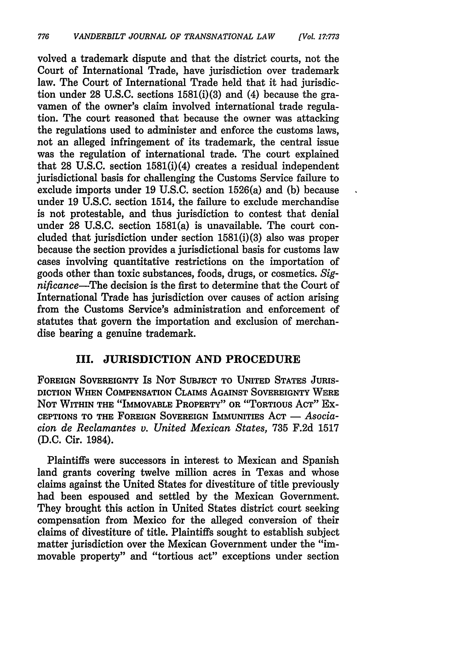volved a trademark dispute and that the district courts, not the Court of International Trade, have jurisdiction over trademark law. The Court of International Trade held that it had jurisdiction under **28 U.S.C.** sections 1581(i)(3) and (4) because the gravamen of the owner's claim involved international trade regulation. The court reasoned that because the owner was attacking the regulations used to administer and enforce the customs laws, not an alleged infringement of its trademark, the central issue was the regulation of international trade. The court explained that **28 U.S.C.** section 1581(i)(4) creates a residual independent jurisdictional basis for challenging the Customs Service failure to exclude imports under **19 U.S.C.** section 1526(a) and **(b)** because under **19 U.S.C.** section 1514, the failure to exclude merchandise is not protestable, and thus jurisdiction to contest that denial under **28 U.S.C.** section 1581(a) is unavailable. The court concluded that jurisdiction under section 1581(i)(3) also was proper because the section provides a jurisdictional basis for customs law cases involving quantitative restrictions on the importation of goods other than toxic substances, foods, drugs, or cosmetics. *Significance-The* decision is the first to determine that the Court of International Trade has jurisdiction over causes of action arising from the Customs Service's administration and enforcement of statutes that govern the importation and exclusion of merchandise bearing a genuine trademark.

## **III. JURISDICTION AND PROCEDURE**

**FOREIGN** SOVEREIGNTY Is **NOT SUBJECT** TO **UNITED** STATES **JURIS-DICTION WHEN** COMPENSATION CLAIMS **AGAINST** SOVEREIGNTY WERE **NOT** WITHIN THE "IMMOVABLE PROPERTY" OR "TORTIOUS ACT" Ex-**CEPTIONS** TO THE **FOREIGN** SOVEREIGN IMMUNITIES **ACT -** *Asociacion de Reclamantes v. United Mexican States,* **735 F.2d 1517 (D.C.** Cir. 1984).

Plaintiffs were successors in interest to Mexican and Spanish land grants covering twelve million acres in Texas and whose claims against the United States for divestiture of title previously had been espoused and settled **by** the Mexican Government. They brought this action in United States district court seeking compensation from Mexico for the alleged conversion of their claims of divestiture of title. Plaintiffs sought to establish subject matter jurisdiction over the Mexican Government under the "immovable property" and "tortious act" exceptions under section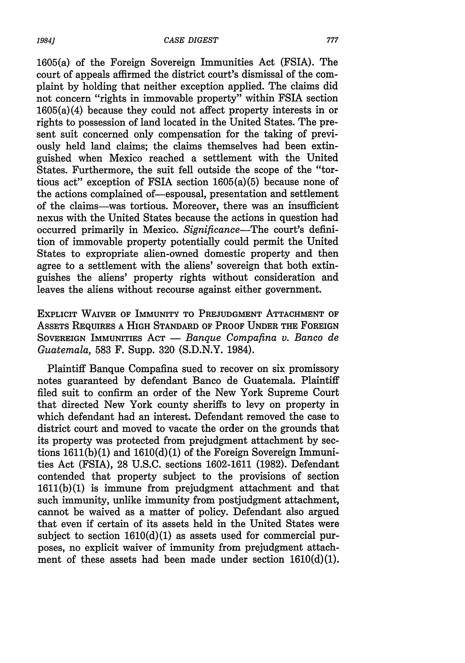1605(a) of the Foreign Sovereign Immunities Act (FSIA). The court of appeals affirmed the district court's dismissal of the complaint by holding that neither exception applied. The claims did not concern "rights in immovable property" within FSIA section 1605(a)(4) because they could not affect property interests in or rights to possession of land located in the United States. The present suit concerned only compensation for the taking of previously held land claims; the claims themselves had been extinguished when Mexico reached a settlement with the United States. Furthermore, the suit fell outside the scope of the "tortious act" exception of FSIA section 1605(a)(5) because none of the actions complained of-espousal, presentation and settlement of the claims-was tortious. Moreover, there was an insufficient nexus with the United States because the actions in question had occurred primarily in Mexico. *Significance-The* court's definition of immovable property potentially could permit the United States to expropriate alien-owned domestic property and then agree to a settlement with the aliens' sovereign that both extinguishes the aliens' property rights without consideration and leaves the aliens without recourse against either government.

EXPLICIT WAIVER OF IMMUNITY TO **PREJUDGMENT ATTACHMENT** OF ASSETS REQUIRES A HIGH STANDARD OF PROOF **UNDER** THE FOREIGN SOVEREIGN IMMUNITIES ACT — *Banque Compafina v. Banco de Guatemala,* 583 F. Supp. 320 (S.D.N.Y. 1984).

Plaintiff Banque Compafina sued to recover on six promissory notes guaranteed by defendant Banco de Guatemala. Plaintiff filed suit to confirm an order of the New York Supreme Court that directed New York county sheriffs to levy on property in which defendant had an interest. Defendant removed the case to district court and moved to vacate the order on the grounds that its property was protected from prejudgment attachment by sections 1611(b)(1) and 1610(d)(1) of the Foreign Sovereign Immunities Act (FSIA), 28 U.S.C. sections 1602-1611 (1982). Defendant contended that property subject to the provisions of section 1611(b)(1) is immune from prejudgment attachment and that such immunity, unlike immunity from postjudgment attachment, cannot be waived as a matter of policy. Defendant also argued that even if certain of its assets held in the United States were subject to section  $1610(d)(1)$  as assets used for commercial purposes, no explicit waiver of immunity from prejudgment attachment of these assets had been made under section  $1610(d)(1)$ .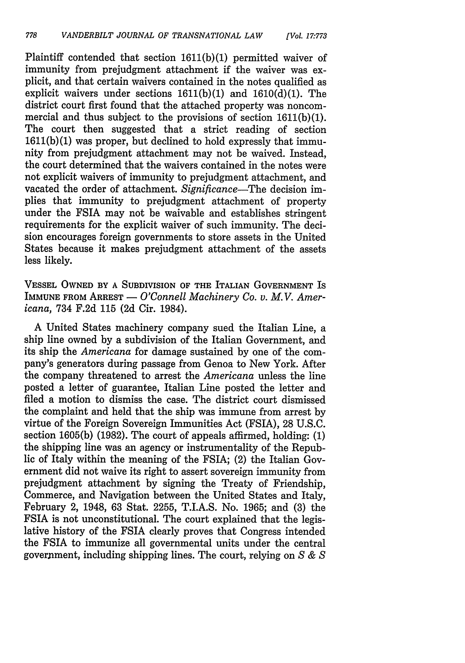Plaintiff contended that section **1611(b)(1)** permitted waiver of immunity from prejudgment attachment if the waiver was explicit, and that certain waivers contained in the notes qualified as explicit waivers under sections 1611(b)(1) and 1610(d)(1). The district court first found that the attached property was noncommercial and thus subject to the provisions of section 1611(b)(1). The court then suggested that a strict reading of section 1611(b)(1) was proper, but declined to hold expressly that immunity from prejudgment attachment may not be waived. Instead, the court determined that the waivers contained in the notes were not explicit waivers of immunity to prejudgment attachment, and vacated the order of attachment. *Significance*-The decision implies that immunity to prejudgment attachment of property under the FSIA may not be waivable and establishes stringent requirements for the explicit waiver of such immunity. The decision encourages foreign governments to store assets in the United States because it makes prejudgment attachment of the assets less likely.

**VESSEL OWNED BY A SUBDIVISION OF THE ITALIAN GOVERNMENT** IS IMMUNE FROM ARREST - *O'Connell Machinery Co. v. M.V. Americana,* 734 F.2d 115 (2d Cir. 1984).

A United States machinery company sued the Italian Line, a ship line owned by a subdivision of the Italian Government, and its ship the *Americana* for damage sustained by one of the company's generators during passage from Genoa to New York. After the company threatened to arrest the *Americana* unless the line posted a letter of guarantee, Italian Line posted the letter and filed a motion to dismiss the case. The district court dismissed the complaint and held that the ship was immune from arrest by virtue of the Foreign Sovereign Immunities Act (FSIA), 28 U.S.C. section 1605(b) (1982). The court of appeals affirmed, holding: (1) the shipping line was an agency or instrumentality of the Republic of Italy within the meaning of the FSIA; (2) the Italian Government did not waive its right to assert sovereign immunity from prejudgment attachment by signing the Treaty of Friendship, Commerce, and Navigation between the United States and Italy, February 2, 1948, 63 Stat. 2255, T.I.A.S. No. 1965; and (3) the FSIA is not unconstitutional. The court explained that the legislative history of the FSIA clearly proves that Congress intended the FSIA to immunize all governmental units under the central government, including shipping lines. The court, relying on *S & S*